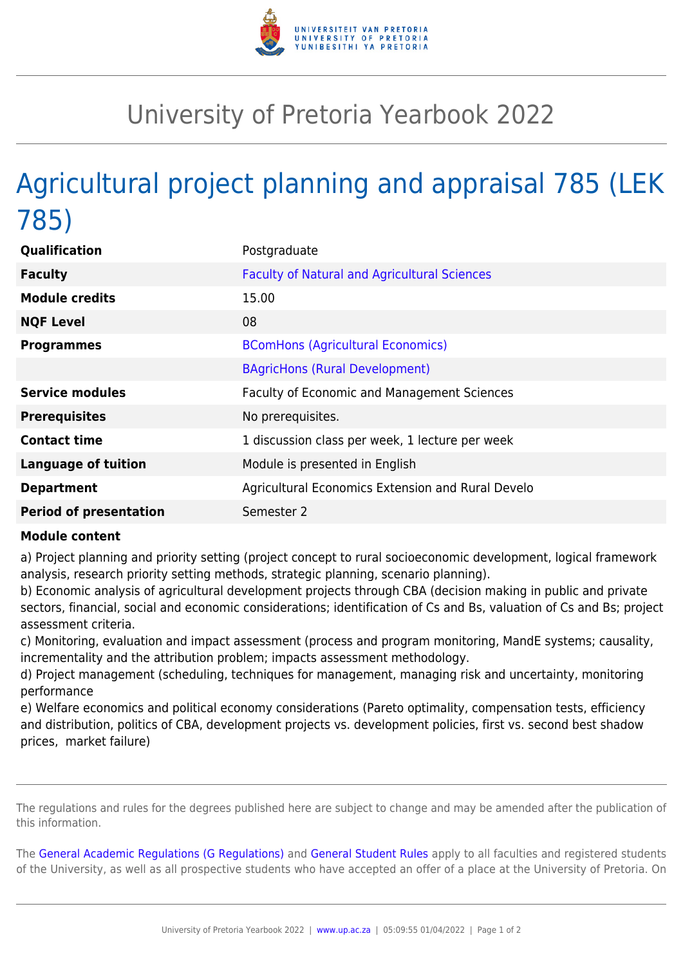

## University of Pretoria Yearbook 2022

## Agricultural project planning and appraisal 785 (LEK 785)

| Qualification                 | Postgraduate                                        |
|-------------------------------|-----------------------------------------------------|
| <b>Faculty</b>                | <b>Faculty of Natural and Agricultural Sciences</b> |
| <b>Module credits</b>         | 15.00                                               |
| <b>NQF Level</b>              | 08                                                  |
| <b>Programmes</b>             | <b>BComHons (Agricultural Economics)</b>            |
|                               | <b>BAgricHons (Rural Development)</b>               |
| <b>Service modules</b>        | <b>Faculty of Economic and Management Sciences</b>  |
| <b>Prerequisites</b>          | No prerequisites.                                   |
| <b>Contact time</b>           | 1 discussion class per week, 1 lecture per week     |
| <b>Language of tuition</b>    | Module is presented in English                      |
| <b>Department</b>             | Agricultural Economics Extension and Rural Develo   |
| <b>Period of presentation</b> | Semester 2                                          |

## **Module content**

a) Project planning and priority setting (project concept to rural socioeconomic development, logical framework analysis, research priority setting methods, strategic planning, scenario planning).

b) Economic analysis of agricultural development projects through CBA (decision making in public and private sectors, financial, social and economic considerations; identification of Cs and Bs, valuation of Cs and Bs; project assessment criteria.

c) Monitoring, evaluation and impact assessment (process and program monitoring, MandE systems; causality, incrementality and the attribution problem; impacts assessment methodology.

d) Project management (scheduling, techniques for management, managing risk and uncertainty, monitoring performance

e) Welfare economics and political economy considerations (Pareto optimality, compensation tests, efficiency and distribution, politics of CBA, development projects vs. development policies, first vs. second best shadow prices, market failure)

The regulations and rules for the degrees published here are subject to change and may be amended after the publication of this information.

The [General Academic Regulations \(G Regulations\)](https://www.up.ac.za/yearbooks/2022/rules/view/REG) and [General Student Rules](https://www.up.ac.za/yearbooks/2022/rules/view/RUL) apply to all faculties and registered students of the University, as well as all prospective students who have accepted an offer of a place at the University of Pretoria. On